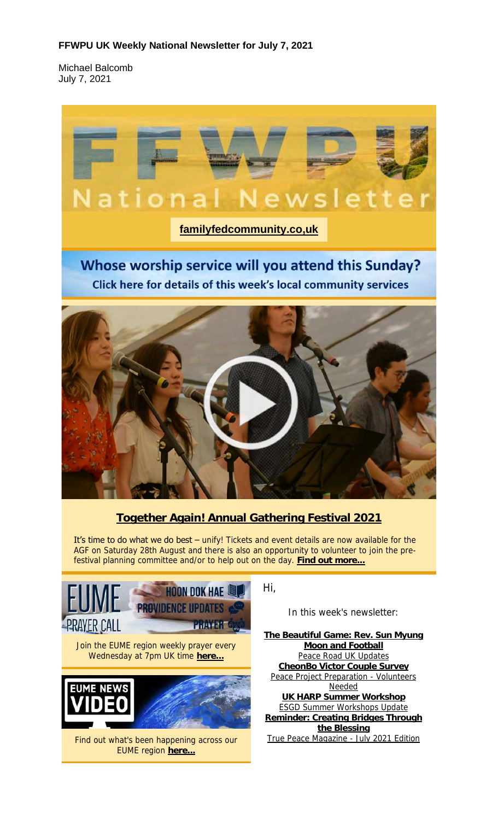### **FFWPU UK Weekly National Newsletter for July 7, 2021**

Michael Balcomb July 7, 2021



Whose worship service will you attend this Sunday? Click here for details of this week's local community services



### **Together Again! Annual Gathering Festival 2021**

It's time to do what we do best - unify! Tickets and event details are now available for the AGF on Saturday 28th August and there is also an opportunity to volunteer to join the prefestival planning committee and/or to help out on the day. **Find out more...**



Hi,

In this week's newsletter:

**The Beautiful Game: Rev. Sun Myung Moon and Football** Peace Road UK Updates **CheonBo Victor Couple Survey** Peace Project Preparation - Volunteers Needed **UK HARP Summer Workshop** ESGD Summer Workshops Update **Reminder: Creating Bridges Through the Blessing** True Peace Magazine - July 2021 Edition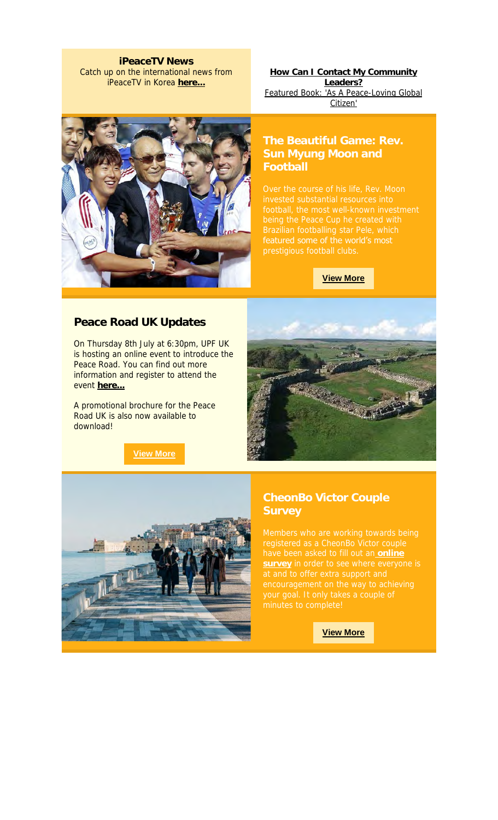**iPeaceTV News** Catch up on the international news from iPeaceTV in Korea **here...**

**How Can I Contact My Community Leaders?** Featured Book: 'As A Peace-Loving Global Citizen'



## **The Beautiful Game: Rev. Football**

featured some of the world's most

**View More**

### **Peace Road UK Updates**

On Thursday 8th July at 6:30pm, UPF UK is hosting an online event to introduce the Peace Road. You can find out more information and register to attend the event **here...**

A promotional brochure for the Peace Road UK is also now available to download!

**View More**





# **Survey**

have been asked to fill out an **online survey** in order to see where everyone is

**View More**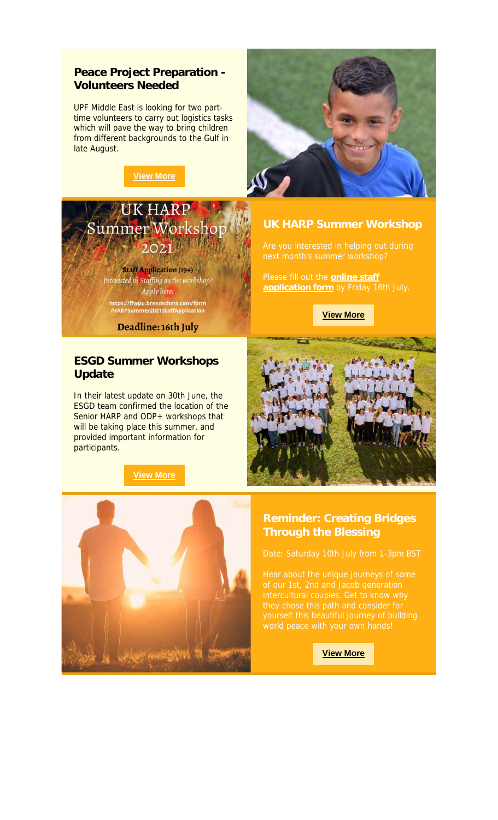### **Peace Project Preparation - Volunteers Needed**

UPF Middle East is looking for two parttime volunteers to carry out logistics tasks which will pave the way to bring children from different backgrounds to the Gulf in late August.





Staff Application (19+) Interested in Staffing on the workshop: Apply here: https://ffwpu.breezechms.com/form<br>/HARPSummer2021StaffApplication

Deadline: 16th July

### **ESGD Summer Workshops Update**

In their latest update on 30th June, the ESGD team confirmed the location of the Senior HARP and ODP+ workshops that will be taking place this summer, and provided important information for participants.

**View More**



Please fill out the **online staff application form** by Friday 16th July.





**View More**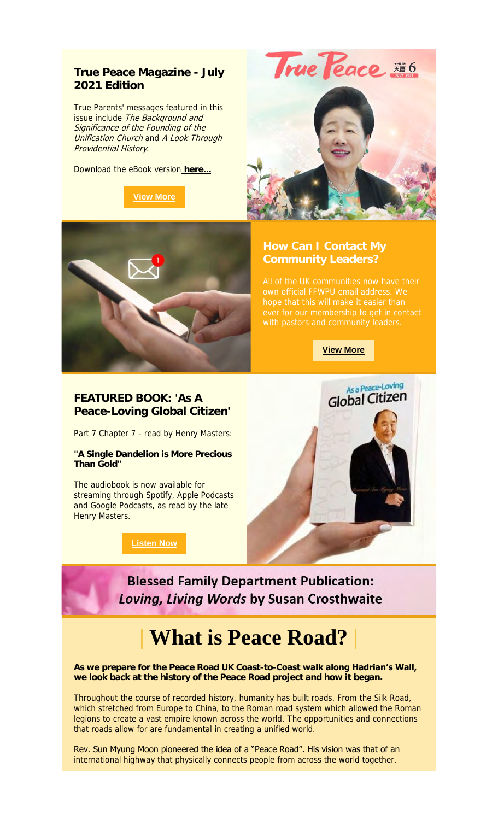### **True Peace Magazine - July 2021 Edition**

True Parents' messages featured in this issue include The Background and Significance of the Founding of the Unification Church and A Look Through Providential History.

Download the eBook version **here...**



True Peace #6





**View More**



### **FEATURED BOOK: 'As A Peace-Loving Global Citizen'**

Part 7 Chapter 7 - read by Henry Masters:

**"A Single Dandelion is More Precious Than Gold"**

The audiobook is now available for streaming through Spotify, Apple Podcasts and Google Podcasts, as read by the late Henry Masters.

**Listen Now**



**Blessed Family Department Publication: Loving, Living Words by Susan Crosthwaite** 

# **| What is Peace Road? |**

**As we prepare for the Peace Road UK Coast-to-Coast walk along Hadrian's Wall, we look back at the history of the Peace Road project and how it began.** 

Throughout the course of recorded history, humanity has built roads. From the Silk Road, which stretched from Europe to China, to the Roman road system which allowed the Roman legions to create a vast empire known across the world. The opportunities and connections that roads allow for are fundamental in creating a unified world.

Rev. Sun Myung Moon pioneered the idea of a "Peace Road". His vision was that of an international highway that physically connects people from across the world together.